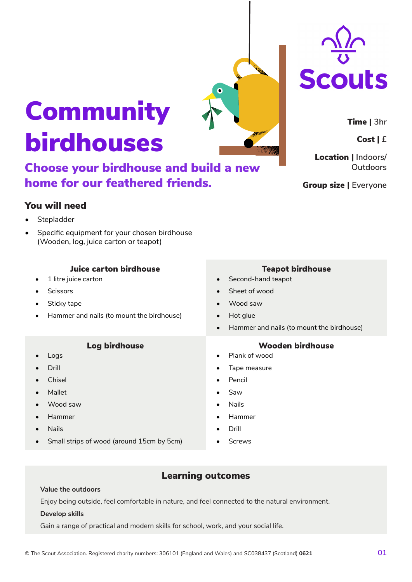# Community birdhouses

Choose your birdhouse and build a new home for our feathered friends.

### You will need

- **Stepladder**
- Specific equipment for your chosen birdhouse (Wooden, log, juice carton or teapot)

#### Juice carton birdhouse

- 1 litre juice carton
- **Scissors**
- Sticky tape
- Hammer and nails (to mount the birdhouse)

#### Log birdhouse

- Logs
- Drill
- **Chisel**
- Mallet
- Wood saw
- Hammer
- Nails
- Small strips of wood (around 15cm by 5cm)

## Learning outcomes

#### **Value the outdoors**

Enjoy being outside, feel comfortable in nature, and feel connected to the natural environment.

#### **Develop skills**

Gain a range of practical and modern skills for school, work, and your social life.

#### Teapot birdhouse

- Second-hand teapot
- Sheet of wood
- Wood saw
- Hot glue
- Hammer and nails (to mount the birdhouse)

#### Wooden birdhouse

- Plank of wood
- Tape measure
- **Pencil**
- 
- 
- Hammer
- 

Cost | **£**

Time | **3hr**

Location | **Indoors/ Outdoors**

Group size | **Everyone**





- Saw
- Nails
- 
- Drill
- **Screws**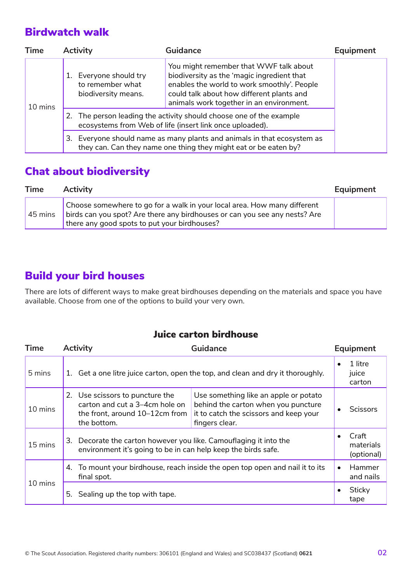## Birdwatch walk

| <b>Time</b> | <b>Activity</b>                                                | <b>Guidance</b>                                                                                                                                                                                                              | Equipment |
|-------------|----------------------------------------------------------------|------------------------------------------------------------------------------------------------------------------------------------------------------------------------------------------------------------------------------|-----------|
| 10 mins     | Everyone should try<br>to remember what<br>biodiversity means. | You might remember that WWF talk about<br>biodiversity as the 'magic ingredient that<br>enables the world to work smoothly'. People<br>could talk about how different plants and<br>animals work together in an environment. |           |
|             |                                                                | 2. The person leading the activity should choose one of the example<br>ecosystems from Web of life (insert link once uploaded).                                                                                              |           |
|             | 3.                                                             | Everyone should name as many plants and animals in that ecosystem as<br>they can. Can they name one thing they might eat or be eaten by?                                                                                     |           |

## Chat about biodiversity

| <b>Time</b> | <b>Activity</b>                                                                                                                                                                                        | Equipment |
|-------------|--------------------------------------------------------------------------------------------------------------------------------------------------------------------------------------------------------|-----------|
| 45 mins     | Choose somewhere to go for a walk in your local area. How many different<br>birds can you spot? Are there any birdhouses or can you see any nests? Are<br>there any good spots to put your birdhouses? |           |

## Build your bird houses

There are lots of different ways to make great birdhouses depending on the materials and space you have available. Choose from one of the options to build your very own.

### Juice carton birdhouse

| <b>Time</b> | <b>Activity</b>                                                                                                                       | Guidance                                                                                                                                 | Equipment                               |
|-------------|---------------------------------------------------------------------------------------------------------------------------------------|------------------------------------------------------------------------------------------------------------------------------------------|-----------------------------------------|
| 5 mins      | Get a one litre juice carton, open the top, and clean and dry it thoroughly.<br>1.                                                    |                                                                                                                                          | 1 litre<br>$\bullet$<br>juice<br>carton |
| 10 mins     | 2. Use scissors to puncture the<br>carton and cut a 3-4cm hole on<br>the front, around 10-12cm from<br>the bottom.                    | Use something like an apple or potato<br>behind the carton when you puncture<br>it to catch the scissors and keep your<br>fingers clear. | <b>Scissors</b>                         |
| 15 mins     | Decorate the carton however you like. Camouflaging it into the<br>3.<br>environment it's going to be in can help keep the birds safe. |                                                                                                                                          | Craft<br>materials<br>(optional)        |
| 10 mins     | 4. To mount your birdhouse, reach inside the open top open and nail it to its<br>final spot.                                          |                                                                                                                                          | Hammer<br>$\bullet$<br>and nails        |
|             | Sealing up the top with tape.<br>5.                                                                                                   |                                                                                                                                          | Sticky<br>tape                          |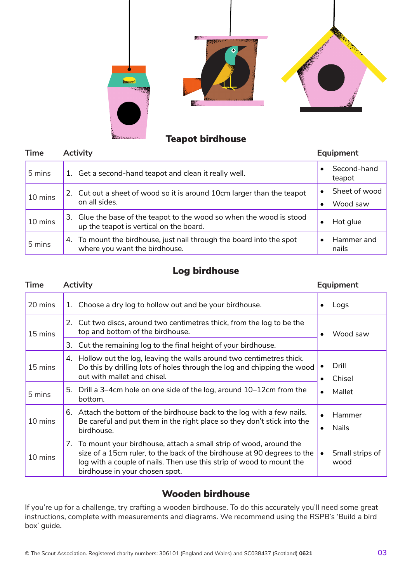

## Teapot birdhouse

| <b>Time</b> | <b>Activity</b>                                                                                                 | Equipment                              |
|-------------|-----------------------------------------------------------------------------------------------------------------|----------------------------------------|
| 5 mins      | 1. Get a second-hand teapot and clean it really well.                                                           | Second-hand<br>teapot                  |
| 10 mins     | 2. Cut out a sheet of wood so it is around 10cm larger than the teapot<br>on all sides.                         | Sheet of wood<br>Wood saw<br>$\bullet$ |
| 10 mins     | 3. Glue the base of the teapot to the wood so when the wood is stood<br>up the teapot is vertical on the board. | Hot glue<br>٠                          |
| 5 mins      | 4. To mount the birdhouse, just nail through the board into the spot<br>where you want the birdhouse.           | Hammer and<br>nails                    |

### Log birdhouse

| <b>Time</b> | <b>Activity</b>                                                                                                                                                                                                                                           | <b>Equipment</b>                     |
|-------------|-----------------------------------------------------------------------------------------------------------------------------------------------------------------------------------------------------------------------------------------------------------|--------------------------------------|
| 20 mins     | Choose a dry log to hollow out and be your birdhouse.<br>1.                                                                                                                                                                                               | Logs                                 |
| 15 mins     | 2. Cut two discs, around two centimetres thick, from the log to be the<br>top and bottom of the birdhouse.                                                                                                                                                | Wood saw                             |
|             | 3. Cut the remaining log to the final height of your birdhouse.                                                                                                                                                                                           |                                      |
| 15 mins     | Hollow out the log, leaving the walls around two centimetres thick.<br>4.<br>Do this by drilling lots of holes through the log and chipping the wood<br>out with mallet and chisel.                                                                       | Drill<br>Chisel<br>$\bullet$         |
| 5 mins      | 5. Drill a 3–4cm hole on one side of the log, around 10–12cm from the<br>bottom.                                                                                                                                                                          | Mallet<br>$\bullet$                  |
| 10 mins     | 6. Attach the bottom of the birdhouse back to the log with a few nails.<br>Be careful and put them in the right place so they don't stick into the<br>birdhouse.                                                                                          | Hammer<br><b>Nails</b><br>٠          |
| 10 mins     | 7. To mount your birdhouse, attach a small strip of wood, around the<br>size of a 15cm ruler, to the back of the birdhouse at 90 degrees to the<br>log with a couple of nails. Then use this strip of wood to mount the<br>birdhouse in your chosen spot. | Small strips of<br>$\bullet$<br>wood |

### Wooden birdhouse

If you're up for a challenge, try crafting a wooden birdhouse. To do this accurately you'll need some great instructions, complete with measurements and diagrams. We recommend using the RSPB's 'Build a bird box' guide.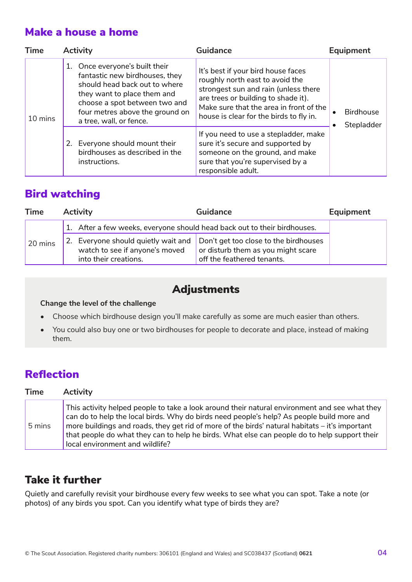## Make a house a home

| <b>Time</b> | <b>Activity</b>                                                                                                                                                                                                                 | Guidance                                                                                                                                                                                                                                   | Equipment                      |
|-------------|---------------------------------------------------------------------------------------------------------------------------------------------------------------------------------------------------------------------------------|--------------------------------------------------------------------------------------------------------------------------------------------------------------------------------------------------------------------------------------------|--------------------------------|
| 10 mins     | 1. Once everyone's built their<br>fantastic new birdhouses, they<br>should head back out to where<br>they want to place them and<br>choose a spot between two and<br>four metres above the ground on<br>a tree, wall, or fence. | It's best if your bird house faces<br>roughly north east to avoid the<br>strongest sun and rain (unless there<br>are trees or building to shade it).<br>Make sure that the area in front of the<br>house is clear for the birds to fly in. | <b>Birdhouse</b><br>Stepladder |
|             | 2. Everyone should mount their<br>birdhouses as described in the<br>instructions.                                                                                                                                               | If you need to use a stepladder, make<br>sure it's secure and supported by<br>someone on the ground, and make<br>sure that you're supervised by a<br>responsible adult.                                                                    |                                |

## Bird watching

| <b>Time</b> | <b>Activity</b>                                                                                                                      | <b>Guidance</b>                                                  | Equipment |
|-------------|--------------------------------------------------------------------------------------------------------------------------------------|------------------------------------------------------------------|-----------|
|             | 1. After a few weeks, everyone should head back out to their birdhouses.                                                             |                                                                  |           |
| 20 mins     | 2. Everyone should quietly wait and Don't get too close to the birdhouses<br>watch to see if anyone's moved<br>into their creations. | or disturb them as you might scare<br>off the feathered tenants. |           |

## Adjustments

#### **Change the level of the challenge**

- Choose which birdhouse design you'll make carefully as some are much easier than others.
- You could also buy one or two birdhouses for people to decorate and place, instead of making them.

## Reflection

| <b>Time</b> | <b>Activity</b>                                                                                                                                                                                                                                                                                                                                                                                                                 |
|-------------|---------------------------------------------------------------------------------------------------------------------------------------------------------------------------------------------------------------------------------------------------------------------------------------------------------------------------------------------------------------------------------------------------------------------------------|
| 5 mins      | This activity helped people to take a look around their natural environment and see what they<br>can do to help the local birds. Why do birds need people's help? As people build more and<br>more buildings and roads, they get rid of more of the birds' natural habitats – it's important<br>that people do what they can to help he birds. What else can people do to help support their<br>local environment and wildlife? |

## Take it further

Quietly and carefully revisit your birdhouse every few weeks to see what you can spot. Take a note (or photos) of any birds you spot. Can you identify what type of birds they are?